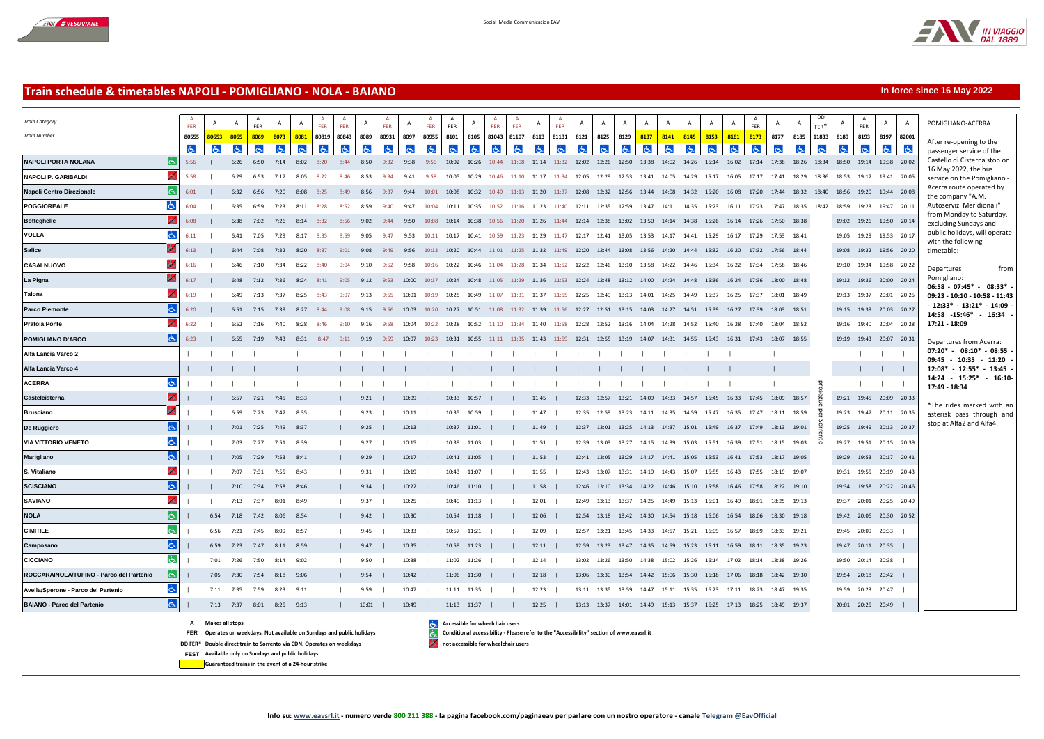

*Train Category Train Number*

**VOLLA Salice**

**Talona**

**NOLA**

A A A A A A A A A

A FER

A A

DD

A A FER

A A

**In force since 16 May 2022**

POMIGLIANO-ACERRA



## **Train schedule & timetables NAPOLI - POMIGLIANO - NOLA - BAIANO**

A A

A FER

A A A FER A FER A A FER A A FER A FER A A FER A FER A A FER

A FER

## FER\* 80555 <mark>80653 | 8065 | 8069 | 8073 | 8081 |</mark> 80843 | 8089 | 80931 | 8097 | 80955 | 8101 | 8105 | 81043 | 81107 | 8113 | 81131 | 8121 | 8125 | 8129 | <mark>8137 | 8141 | 8145 | 8153 | 8161 | 817</mark> | 8177 | 8185 | 11833 | 8189 | 819 After re-opening to the  $\sigma$  $\sigma$  $\sigma$  $\sigma$  $\sigma$ ď.  $\sigma$  $\sigma$  $\sigma$  $\sigma$  $\sigma$  $\sigma$  $\sigma$  $\sigma$  $\sigma$  $\sigma$  $\sigma$  $\sigma$ よ 占  $\sigma$  $\sigma$  $\sigma$  $\sigma$  $\sigma$  $\sigma$ 占 ക Ġ. 人 passenger service of the Castello di Cisterna stop on **NAPOLI PORTA NOLANA** 5:56 | 6:26 6:50 7:14 8:02 8:20 8:44 8:50 9:32 9:38 9:56 10:02 10:26 10:44 11:08 11:14 11:32 12:02 12:26 12:50 13:38 14:02 14:26 15:14 16:02 17:14 17:38 18:26 18:34 18:50 19:14 19:38 20:02 16 May 2022, the bus **NAPOLI P. GARIBALDI** 5:58 | 6:29 6:53 7:17 8:05 8:22 8:46 8:53 9:34 9:41 9:58 10:05 10:29 10:46 11:10 11:17 11:34 12:05 12:29 12:53 13:41 14:05 14:29 15:17 16:05 17:17 17:41 18:29 18:36 18:53 19:17 19:41 20:05 service on the Pomigliano Acerra route operated by **Napoli Centro Direzionale** 6:01 | 6:32 6:56 7:20 8:08 8:25 8:49 8:56 9:37 9:44 10:01 10:08 10:32 10:49 11:13 11:20 11:37 12:08 12:32 12:56 13:44 14:08 14:32 15:20 16:08 17:20 17:44 18:32 18:40 18:56 19:20 19:44 20:08 the company "A.M. **POGGIOREALE** 6:04 | 6:35 6:59 7:23 8:11 8:28 8:52 8:59 9:40 9:47 10:04 10:11 10:35 10:52 11:16 11:23 11:40 12:11 12:35 12:59 13:47 14:11 14:35 15:23 16:11 17:23 17:47 18:35 18:42 18:59 19:23 19:47 20:11 Autoservizi Meridionali" from Monday to Saturday, **Botteghelle** 6:08 | 6:38 7:02 7:26 8:14 8:32 8:56 9:02 9:44 9:50 10:08 10:14 10:38 10:56 11:20 11:26 11:44 12:14 12:38 13:02 13:50 14:14 14:38 15:26 16:14 17:26 17:50 18:38 19:02 19:26 19:50 20:14 excluding Sundays and public holidays, will operate  $\sigma$ 6:11 | 6:41 7:05 7:29 8:17 8:35 8:59 9:05 9:47 9:53 10:11 10:17 10:41 10:59 11:23 11:29 11:47 12:17 12:41 13:05 13:53 14:17 14:41 15:29 16:17 17:29 17:53 18:41 19:05 19:29 19:53 20:17 with the following 6:13 | 6:44 7:08 7:32 8:20 8:37 9:01 9:08 9:49 9:56 10:13 10:20 10:44 11:01 11:25 11:32 11:49 12:20 12:44 13:08 13:56 14:20 14:44 15:32 16:20 17:32 17:56 18:44 19:08 19:32 19:56 20:20 timetable: **CASALNUOVO** 6:16 | 6:46 7:10 7:34 8:22 8:40 9:04 9:10 9:52 9:58 10:16 10:22 10:46 11:04 11:28 11:34 11:52 12:22 12:46 13:10 13:58 14:22 14:46 15:34 16:22 17:34 17:58 18:46 19:10 19:34 19:58 20:22 Departures from Pomigliano: **La Pigna** 6:17 | 6:48 7:12 7:36 8:24 8:41 9:05 9:12 9:53 10:00 10:17 10:24 10:48 11:05 11:29 11:36 11:53 12:24 12:48 13:12 14:00 14:24 14:48 15:36 16:24 17:36 18:00 18:48 19:12 19:36 20:00 20:24 **06:58 - 07:45\* - 08:33\* -** 6:19 | 6:49 7:13 7:37 8:25 8:43 9:07 9:13 9:55 10:01 10:19 10:25 10:49 11:07 11:31 11:37 11:55 12:25 12:49 13:13 14:01 14:25 14:49 15:37 16:25 17:37 18:01 18:49 19:13 19:37 20:01 20:25 **09:23 - 10:10 - 10:58 - 11:43 - 12:33\* - 13:21\* - 14:09 - Parco Piemonte** 6:20 | 6:51 7:15 7:39 8:27 8:44 9:08 9:15 9:56 10:03 10:20 10:27 10:51 11:08 11:32 11:39 11:56 12:27 12:51 13:15 14:03 14:27 14:51 15:39 16:27 17:39 18:03 18:51 19:15 19:39 20:03 20:27 **14:58 -15:46\* - 16:34 - Pratola Ponte** 6:22 | 6:52 7:16 7:40 8:28 8:46 9:10 9:16 9:58 10:04 10:22 10:28 10:52 11:10 11:34 11:40 11:58 12:28 12:52 13:16 14:04 14:28 14:52 15:40 16:28 17:40 18:04 18:52 19:16 19:40 20:04 20:28 **17:21 - 18:09 POMIGLIANO D'ARCO** 6:23 | 6:55 7:19 7:43 8:31 8:47 9:11 9:19 9:59 10:07 10:23 10:31 10:55 11:11 11:35 11:43 11:59 12:31 12:55 13:19 14:07 14:31 14:55 15:43 16:31 17:43 18:07 18:55 19:19 19:43 20:07 20:31 Departures from Acerra: **07:20\* - 08:10\* - 08:55 - Alfa Lancia Varco 2** | | | | | | | | | | | | | | | | | | | | | | | | | | | | | | | | | **09:45 - 10:35 - 11:20 - 12:08\* - 12:55\* - 13:45 - Alfa Lancia Varco 4** | | | | | | | | | | | | | | | | | | | | | | | | | | | | | | | | | **14:24 - 15:25\* - 16:10- ACERRA** | | | | | | | | | | | | | | | | | | | | | | | | | | | | | | | | | prosegue per Sorrento **17:49 - 18:34 Castelcisterna** | | 6:57 7:21 7:45 8:33 | | 9:21 | 10:09 | 10:33 10:57 | | 11:45 | 12:33 12:57 13:21 14:09 14:33 14:57 15:45 16:33 17:45 18:09 18:57 19:21 19:45 20:09 20:33 \*The rides marked with an **Brusciano** | | 6:59 7:23 7:47 8:35 | | 9:23 | 10:11 | 10:35 10:59 | | 11:47 | 12:35 12:59 13:23 14:11 14:35 14:59 15:47 16:35 17:47 18:11 18:59 19:23 19:47 20:11 20:35 asterisk pass through and stop at Alfa2 and Alfa4. **De Ruggiero** | | 7:01 7:25 7:49 8:37 | | 9:25 | 10:13 | 10:37 11:01 | | 11:49 | 12:37 13:01 13:25 14:13 14:37 15:01 15:49 16:37 17:49 18:13 19:01 19:25 19:49 20:13 20:37 **VIA VITTORIO VENETO** | | 7:03 7:27 7:51 8:39 | | 9:27 | 10:15 | 10:39 11:03 | | 11:51 | 12:39 13:03 13:27 14:15 14:39 15:03 15:51 16:39 17:51 18:15 19:03 19:27 19:51 20:15 20:39 **Marigliano** | | 7:05 7:29 7:53 8:41 | | 9:29 | 10:17 | 10:41 11:05 | | 11:53 | 12:41 13:05 13:29 14:17 14:41 15:05 15:53 16:41 17:53 18:17 19:05 19:29 19:53 20:17 20:41 **S. Vitaliano** | | 7:07 7:31 7:55 8:43 | | 9:31 | 10:19 | 10:43 11:07 | | 11:55 | 12:43 13:07 13:31 14:19 14:43 15:07 15:55 16:43 17:55 18:19 19:07 19:31 19:55 20:19 20:43 **SCISCIANO** | | 7:10 7:34 7:58 8:46 | | 9:34 | 10:22 | 10:46 11:10 | | 11:58 | 12:46 13:10 13:34 14:22 14:46 15:10 15:58 16:46 17:58 18:22 19:10 19:34 19:58 20:22 20:46 **SAVIANO** | | 7:13 7:37 8:01 8:49 | | 9:37 | 10:25 | 10:49 11:13 | | 12:01 | 12:49 13:13 13:37 14:25 14:49 15:13 16:01 16:49 18:01 18:25 19:13 19:37 20:01 20:25 20:49  $\overline{6}$ | 6:54 7:18 7:42 8:06 8:54 | | 9:42 | 10:30 | 10:54 11:18 | | 12:06 | 12:54 13:18 13:42 14:30 14:54 15:18 16:06 16:54 18:06 18:30 19:18 19:42 20:06 20:30 20:52 **CIMITILE** | 6:56 7:21 7:45 8:09 8:57 | | 9:45 | 10:33 | 10:57 11:21 | | 12:09 | 12:57 13:21 13:45 14:33 14:57 15:21 16:09 16:57 18:09 18:33 19:21 19:45 20:09 20:33 | **Camposano** | 6:59 7:23 7:47 8:11 8:59 | | 9:47 | 10:35 | 10:59 11:23 | | 12:11 | 12:59 13:23 13:47 14:35 14:59 15:23 16:11 16:59 18:11 18:35 19:23 19:47 20:11 20:35 | **CICCIANO** | 7:01 7:26 7:50 8:14 9:02 | | 9:50 | 10:38 | 11:02 11:26 | | 12:14 | 13:02 13:26 13:50 14:38 15:02 15:26 16:14 17:02 18:14 18:38 19:26 19:50 20:14 20:38 | **ROCCARAINOLA/TUFINO - Parco del Partenio** | 7:05 7:30 7:54 8:18 9:06 | | 9:54 | 10:42 | 11:06 11:30 | | 12:18 | 13:06 13:30 13:54 14:42 15:06 15:30 16:18 17:06 18:18 18:42 19:30 19:54 20:18 20:42 | **Avella/Sperone - Parco del Partenio** | 7:11 7:35 7:59 8:23 9:11 | | 9:59 | 10:47 | 11:11 11:35 | | 12:23 | 13:11 13:35 13:59 14:47 15:11 15:35 16:23 17:11 18:23 18:47 19:35 19:59 20:23 20:47 |

**A Makes all stops Accessible for wheelchair users**

**FER** Operates on weekdays. Not available on Sundays and public holidays **Conditional accessibility - Please refer to the "Accessibility" section of www.eavsrl.it** 

**BAIANO - Parco del Partenio** | 7:13 7:37 8:01 8:25 9:13 | | 10:01 | 10:49 | 11:13 11:37 | | 12:25 | 13:13 13:37 14:01 14:49 15:13 15:37 16:25 17:13 18:25 18:49 19:37 20:01 20:25 20:49 |

**FEST Available only on Sundays and public holidays**

**Guaranteed trains in the event of a 24-hour strike**

**DD FER\*** Double direct train to Sorrento via CDN. Operates on weekdays **notice in the source of accessible for wheelchair users**